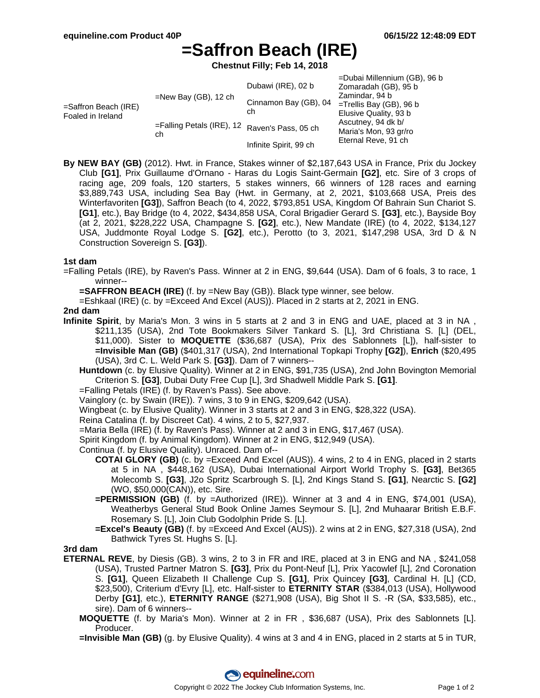# **=Saffron Beach (IRE)**

**Chestnut Filly; Feb 14, 2018**

|                                              |                                                     | Dubawi (IRE), 02 b     | =Dubai Millennium (GB), 96 b<br>Zomaradah (GB), 95 b                                                                                        |
|----------------------------------------------|-----------------------------------------------------|------------------------|---------------------------------------------------------------------------------------------------------------------------------------------|
| $=$ Saffron Beach (IRE)<br>Foaled in Ireland | $=$ New Bay (GB), 12 ch                             | Cinnamon Bay (GB), 04  | Zamindar, 94 b<br>$=$ Trellis Bay (GB), 96 b<br>Elusive Quality, 93 b<br>Ascutney, 94 dk b/<br>Maria's Mon, 93 gr/ro<br>Eternal Reve, 91 ch |
|                                              |                                                     | ch                     |                                                                                                                                             |
|                                              | =Falling Petals (IRE), 12 Raven's Pass, 05 ch<br>ch |                        |                                                                                                                                             |
|                                              |                                                     | Infinite Spirit, 99 ch |                                                                                                                                             |

**By NEW BAY (GB)** (2012). Hwt. in France, Stakes winner of \$2,187,643 USA in France, Prix du Jockey Club **[G1]**, Prix Guillaume d'Ornano - Haras du Logis Saint-Germain **[G2]**, etc. Sire of 3 crops of racing age, 209 foals, 120 starters, 5 stakes winners, 66 winners of 128 races and earning \$3,889,743 USA, including Sea Bay (Hwt. in Germany, at 2, 2021, \$103,668 USA, Preis des Winterfavoriten **[G3]**), Saffron Beach (to 4, 2022, \$793,851 USA, Kingdom Of Bahrain Sun Chariot S. **[G1]**, etc.), Bay Bridge (to 4, 2022, \$434,858 USA, Coral Brigadier Gerard S. **[G3]**, etc.), Bayside Boy (at 2, 2021, \$228,222 USA, Champagne S. **[G2]**, etc.), New Mandate (IRE) (to 4, 2022, \$134,127 USA, Juddmonte Royal Lodge S. **[G2]**, etc.), Perotto (to 3, 2021, \$147,298 USA, 3rd D & N Construction Sovereign S. **[G3]**).

## **1st dam**

=Falling Petals (IRE), by Raven's Pass. Winner at 2 in ENG, \$9,644 (USA). Dam of 6 foals, 3 to race, 1 winner--

**=SAFFRON BEACH (IRE)** (f. by =New Bay (GB)). Black type winner, see below.

=Eshkaal (IRE) (c. by =Exceed And Excel (AUS)). Placed in 2 starts at 2, 2021 in ENG.

## **2nd dam**

- **Infinite Spirit**, by Maria's Mon. 3 wins in 5 starts at 2 and 3 in ENG and UAE, placed at 3 in NA , \$211,135 (USA), 2nd Tote Bookmakers Silver Tankard S. [L], 3rd Christiana S. [L] (DEL, \$11,000). Sister to **MOQUETTE** (\$36,687 (USA), Prix des Sablonnets [L]), half-sister to **=Invisible Man (GB)** (\$401,317 (USA), 2nd International Topkapi Trophy **[G2]**), **Enrich** (\$20,495 (USA), 3rd C. L. Weld Park S. **[G3]**). Dam of 7 winners--
	- **Huntdown** (c. by Elusive Quality). Winner at 2 in ENG, \$91,735 (USA), 2nd John Bovington Memorial Criterion S. **[G3]**, Dubai Duty Free Cup [L], 3rd Shadwell Middle Park S. **[G1]**.
	- =Falling Petals (IRE) (f. by Raven's Pass). See above.
	- Vainglory (c. by Swain (IRE)). 7 wins, 3 to 9 in ENG, \$209,642 (USA).
	- Wingbeat (c. by Elusive Quality). Winner in 3 starts at 2 and 3 in ENG, \$28,322 (USA).
	- Reina Catalina (f. by Discreet Cat). 4 wins, 2 to 5, \$27,937.
	- =Maria Bella (IRE) (f. by Raven's Pass). Winner at 2 and 3 in ENG, \$17,467 (USA).
	- Spirit Kingdom (f. by Animal Kingdom). Winner at 2 in ENG, \$12,949 (USA).
	- Continua (f. by Elusive Quality). Unraced. Dam of--
		- **COTAI GLORY (GB)** (c. by =Exceed And Excel (AUS)). 4 wins, 2 to 4 in ENG, placed in 2 starts at 5 in NA , \$448,162 (USA), Dubai International Airport World Trophy S. **[G3]**, Bet365 Molecomb S. **[G3]**, J2o Spritz Scarbrough S. [L], 2nd Kings Stand S. **[G1]**, Nearctic S. **[G2]** (WO, \$50,000(CAN)), etc. Sire.
		- **=PERMISSION (GB)** (f. by =Authorized (IRE)). Winner at 3 and 4 in ENG, \$74,001 (USA), Weatherbys General Stud Book Online James Seymour S. [L], 2nd Muhaarar British E.B.F. Rosemary S. [L], Join Club Godolphin Pride S. [L].
		- **=Excel's Beauty (GB)** (f. by =Exceed And Excel (AUS)). 2 wins at 2 in ENG, \$27,318 (USA), 2nd Bathwick Tyres St. Hughs S. [L].

#### **3rd dam**

- **ETERNAL REVE**, by Diesis (GB). 3 wins, 2 to 3 in FR and IRE, placed at 3 in ENG and NA , \$241,058 (USA), Trusted Partner Matron S. **[G3]**, Prix du Pont-Neuf [L], Prix Yacowlef [L], 2nd Coronation S. **[G1]**, Queen Elizabeth II Challenge Cup S. **[G1]**, Prix Quincey **[G3]**, Cardinal H. [L] (CD, \$23,500), Criterium d'Evry [L], etc. Half-sister to **ETERNITY STAR** (\$384,013 (USA), Hollywood Derby **[G1]**, etc.), **ETERNITY RANGE** (\$271,908 (USA), Big Shot II S. -R (SA, \$33,585), etc., sire). Dam of 6 winners--
	- **MOQUETTE** (f. by Maria's Mon). Winner at 2 in FR , \$36,687 (USA), Prix des Sablonnets [L]. Producer.
	- **=Invisible Man (GB)** (g. by Elusive Quality). 4 wins at 3 and 4 in ENG, placed in 2 starts at 5 in TUR,